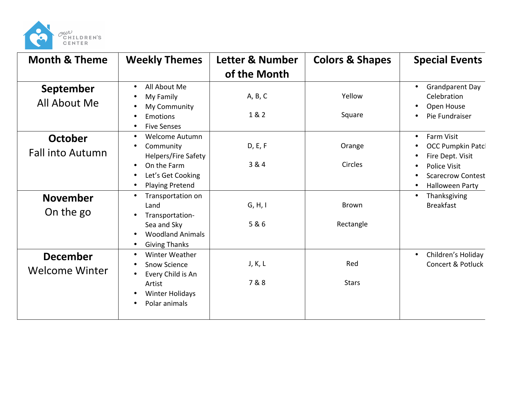

| <b>Month &amp; Theme</b>                 | <b>Weekly Themes</b>                                                                                                                                           | Letter & Number  | <b>Colors &amp; Shapes</b> | <b>Special Events</b>                                                                                                                                                          |
|------------------------------------------|----------------------------------------------------------------------------------------------------------------------------------------------------------------|------------------|----------------------------|--------------------------------------------------------------------------------------------------------------------------------------------------------------------------------|
|                                          |                                                                                                                                                                | of the Month     |                            |                                                                                                                                                                                |
| September<br>All About Me                | All About Me<br>$\bullet$<br>My Family<br>My Community<br>Emotions<br><b>Five Senses</b><br>$\bullet$                                                          | A, B, C<br>1 & 2 | Yellow<br>Square           | <b>Grandparent Day</b><br>$\bullet$<br>Celebration<br>Open House<br>Pie Fundraiser<br>$\bullet$                                                                                |
| October<br><b>Fall into Autumn</b>       | <b>Welcome Autumn</b><br>$\bullet$<br>Community<br><b>Helpers/Fire Safety</b><br>On the Farm<br>$\bullet$<br>Let's Get Cooking<br>$\bullet$<br>Playing Pretend | D, E, F<br>3 & 4 | Orange<br>Circles          | <b>Farm Visit</b><br>$\bullet$<br><b>OCC Pumpkin Patcl</b><br>Fire Dept. Visit<br>Police Visit<br>$\bullet$<br><b>Scarecrow Contest</b><br>$\bullet$<br><b>Halloween Party</b> |
| <b>November</b><br>On the go             | Transportation on<br>$\bullet$<br>Land<br>Transportation-<br>Sea and Sky<br><b>Woodland Animals</b><br>$\bullet$<br><b>Giving Thanks</b><br>$\bullet$          | G, H, I<br>5 & 6 | <b>Brown</b><br>Rectangle  | Thanksgiving<br>$\bullet$<br><b>Breakfast</b>                                                                                                                                  |
| <b>December</b><br><b>Welcome Winter</b> | Winter Weather<br>$\bullet$<br><b>Snow Science</b><br>Every Child is An<br>Artist<br><b>Winter Holidays</b><br>$\bullet$<br>Polar animals<br>$\bullet$         | J, K, L<br>7&8   | Red<br><b>Stars</b>        | Children's Holiday<br>$\bullet$<br><b>Concert &amp; Potluck</b>                                                                                                                |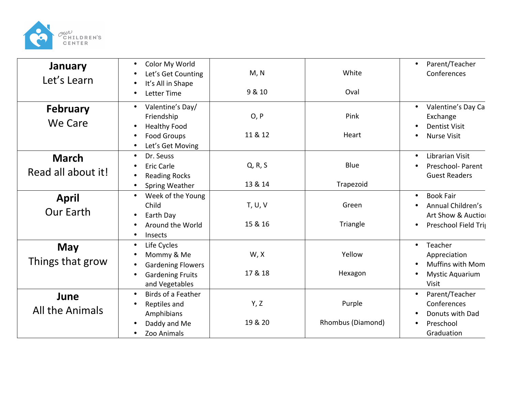

| <b>January</b><br>Let's Learn      | Color My World<br>$\bullet$<br>Let's Get Counting<br>It's All in Shape<br>Letter Time                                                  | M, N<br>9 & 10     | White<br>Oval               | Parent/Teacher<br>$\bullet$<br>Conferences                                                                    |
|------------------------------------|----------------------------------------------------------------------------------------------------------------------------------------|--------------------|-----------------------------|---------------------------------------------------------------------------------------------------------------|
| <b>February</b><br><b>We Care</b>  | Valentine's Day/<br>$\bullet$<br>Friendship<br><b>Healthy Food</b><br><b>Food Groups</b><br>$\bullet$<br>Let's Get Moving<br>$\bullet$ | O, P<br>11 & 12    | Pink<br>Heart               | Valentine's Day Ca<br>Exchange<br><b>Dentist Visit</b><br><b>Nurse Visit</b>                                  |
| <b>March</b><br>Read all about it! | Dr. Seuss<br><b>Eric Carle</b><br>٠<br><b>Reading Rocks</b><br><b>Spring Weather</b>                                                   | Q, R, S<br>13 & 14 | Blue<br>Trapezoid           | Librarian Visit<br>Preschool- Parent<br><b>Guest Readers</b>                                                  |
| <b>April</b><br><b>Our Earth</b>   | Week of the Young<br>$\bullet$<br>Child<br>Earth Day<br>$\bullet$<br>Around the World<br>Insects                                       | T, U, V<br>15 & 16 | Green<br>Triangle           | <b>Book Fair</b><br>$\bullet$<br>Annual Children's<br>Art Show & Auction<br>Preschool Field Trij<br>$\bullet$ |
| <b>May</b><br>Things that grow     | Life Cycles<br>$\bullet$<br>Mommy & Me<br><b>Gardening Flowers</b><br><b>Gardening Fruits</b><br>and Vegetables                        | W, X<br>17 & 18    | Yellow<br>Hexagon           | Teacher<br>$\bullet$<br>Appreciation<br><b>Muffins with Mom</b><br><b>Mystic Aquarium</b><br><b>Visit</b>     |
| June<br>All the Animals            | Birds of a Feather<br>$\bullet$<br>Reptiles and<br>Amphibians<br>Daddy and Me<br>Zoo Animals                                           | Y, Z<br>19 & 20    | Purple<br>Rhombus (Diamond) | Parent/Teacher<br>Conferences<br>Donuts with Dad<br>Preschool<br>Graduation                                   |